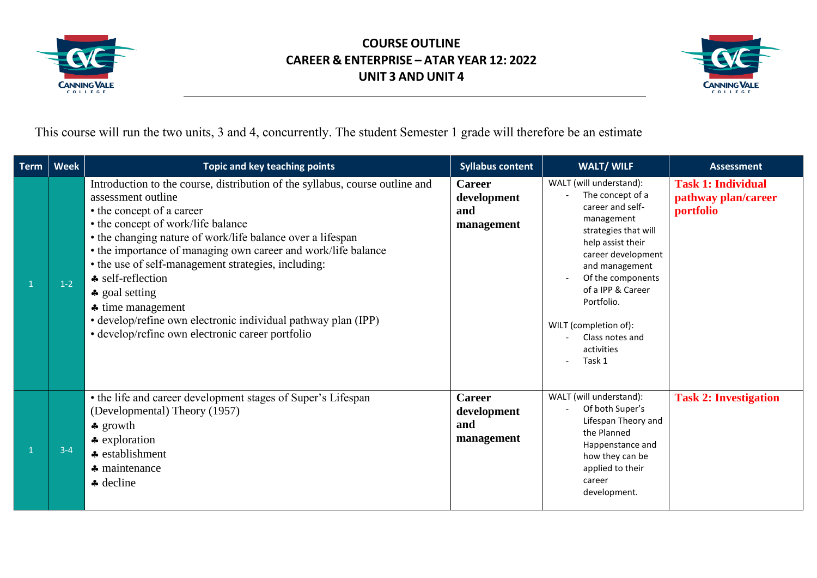



This course will run the two units, 3 and 4, concurrently. The student Semester 1 grade will therefore be an estimate

| <b>Term</b> | <b>Week</b> | <b>Topic and key teaching points</b>                                                                                                                                                                                                                                                                                                                                                                                                                                                                                                                                       | <b>Syllabus content</b>                           | <b>WALT/ WILF</b>                                                                                                                                                                                                                                                                              | <b>Assessment</b>                                             |
|-------------|-------------|----------------------------------------------------------------------------------------------------------------------------------------------------------------------------------------------------------------------------------------------------------------------------------------------------------------------------------------------------------------------------------------------------------------------------------------------------------------------------------------------------------------------------------------------------------------------------|---------------------------------------------------|------------------------------------------------------------------------------------------------------------------------------------------------------------------------------------------------------------------------------------------------------------------------------------------------|---------------------------------------------------------------|
|             | $1-2$       | Introduction to the course, distribution of the syllabus, course outline and<br>assessment outline<br>• the concept of a career<br>• the concept of work/life balance<br>• the changing nature of work/life balance over a lifespan<br>• the importance of managing own career and work/life balance<br>• the use of self-management strategies, including:<br>$\triangle$ self-reflection<br>$\clubsuit$ goal setting<br>$\clubsuit$ time management<br>• develop/refine own electronic individual pathway plan (IPP)<br>· develop/refine own electronic career portfolio | <b>Career</b><br>development<br>and<br>management | WALT (will understand):<br>The concept of a<br>career and self-<br>management<br>strategies that will<br>help assist their<br>career development<br>and management<br>Of the components<br>of a IPP & Career<br>Portfolio.<br>WILT (completion of):<br>Class notes and<br>activities<br>Task 1 | <b>Task 1: Individual</b><br>pathway plan/career<br>portfolio |
|             | $3 - 4$     | • the life and career development stages of Super's Lifespan<br>(Developmental) Theory (1957)<br>$\clubsuit$ growth<br>$\triangle$ exploration<br>* establishment<br>$\clubsuit$ maintenance<br>* decline                                                                                                                                                                                                                                                                                                                                                                  | <b>Career</b><br>development<br>and<br>management | WALT (will understand):<br>Of both Super's<br>Lifespan Theory and<br>the Planned<br>Happenstance and<br>how they can be<br>applied to their<br>career<br>development.                                                                                                                          | <b>Task 2: Investigation</b>                                  |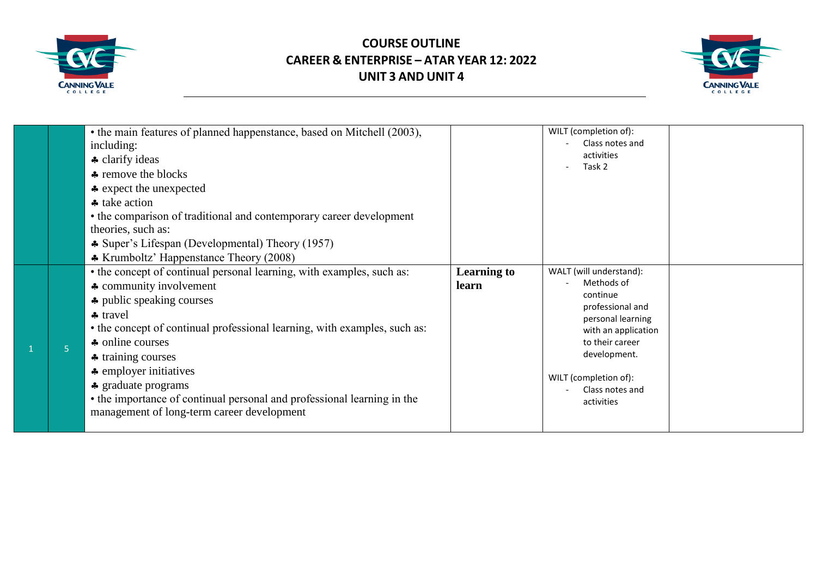



|                | • the main features of planned happenstance, based on Mitchell (2003),<br>including:<br>+ clarify ideas<br>remove the blocks<br>* expect the unexpected<br>lake action<br>• the comparison of traditional and contemporary career development<br>theories, such as:<br>* Super's Lifespan (Developmental) Theory (1957)<br>* Krumboltz' Happenstance Theory (2008)                                                                                                 |                             | WILT (completion of):<br>Class notes and<br>activities<br>Task 2                                                                                                                                               |  |
|----------------|--------------------------------------------------------------------------------------------------------------------------------------------------------------------------------------------------------------------------------------------------------------------------------------------------------------------------------------------------------------------------------------------------------------------------------------------------------------------|-----------------------------|----------------------------------------------------------------------------------------------------------------------------------------------------------------------------------------------------------------|--|
| 5 <sup>1</sup> | • the concept of continual personal learning, with examples, such as:<br>* community involvement<br><b>←</b> public speaking courses<br>$\clubsuit$ travel<br>• the concept of continual professional learning, with examples, such as:<br>• online courses<br>* training courses<br>• employer initiatives<br><b>←</b> graduate programs<br>• the importance of continual personal and professional learning in the<br>management of long-term career development | <b>Learning to</b><br>learn | WALT (will understand):<br>Methods of<br>continue<br>professional and<br>personal learning<br>with an application<br>to their career<br>development.<br>WILT (completion of):<br>Class notes and<br>activities |  |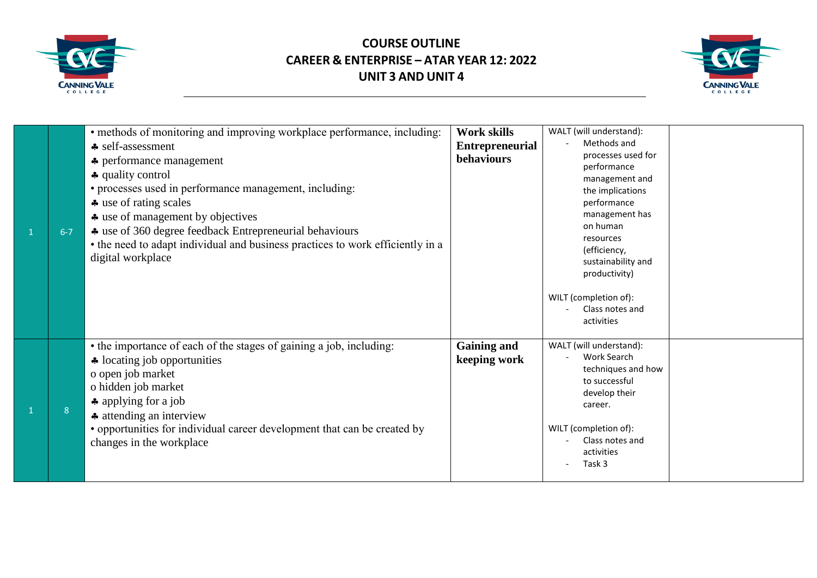



| $6 - 7$ | • methods of monitoring and improving workplace performance, including:<br>♣ self-assessment<br><b>←</b> performance management<br>♣ quality control<br>• processes used in performance management, including:<br>$\clubsuit$ use of rating scales<br>* use of management by objectives<br>* use of 360 degree feedback Entrepreneurial behaviours<br>• the need to adapt individual and business practices to work efficiently in a<br>digital workplace | Work skills<br><b>Entrepreneurial</b><br><b>behaviours</b> | WALT (will understand):<br>Methods and<br>processes used for<br>performance<br>management and<br>the implications<br>performance<br>management has<br>on human<br>resources<br>(efficiency,<br>sustainability and<br>productivity)      |  |
|---------|-----------------------------------------------------------------------------------------------------------------------------------------------------------------------------------------------------------------------------------------------------------------------------------------------------------------------------------------------------------------------------------------------------------------------------------------------------------|------------------------------------------------------------|-----------------------------------------------------------------------------------------------------------------------------------------------------------------------------------------------------------------------------------------|--|
| 8       | • the importance of each of the stages of gaining a job, including:<br>* locating job opportunities<br>o open job market<br>o hidden job market<br>$\clubsuit$ applying for a job<br>attending an interview<br>• opportunities for individual career development that can be created by<br>changes in the workplace                                                                                                                                       | <b>Gaining and</b><br>keeping work                         | WILT (completion of):<br>Class notes and<br>activities<br>WALT (will understand):<br>Work Search<br>techniques and how<br>to successful<br>develop their<br>career.<br>WILT (completion of):<br>Class notes and<br>activities<br>Task 3 |  |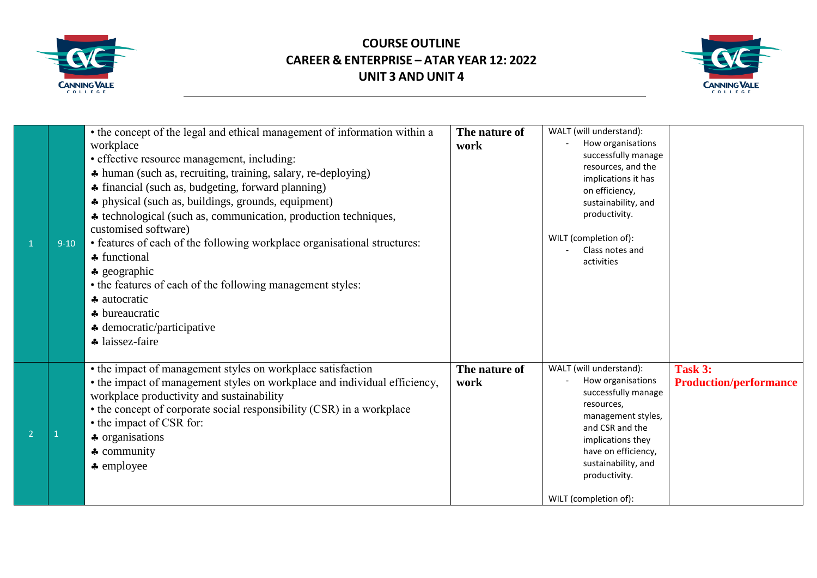



| $\mathbf{1}$   | $9 - 10$ | • the concept of the legal and ethical management of information within a<br>workplace<br>• effective resource management, including:<br>* human (such as, recruiting, training, salary, re-deploying)<br>• financial (such as, budgeting, forward planning)<br>• physical (such as, buildings, grounds, equipment)<br>* technological (such as, communication, production techniques,<br>customised software)<br>• features of each of the following workplace organisational structures:<br>functional<br>$\clubsuit$ geographic<br>• the features of each of the following management styles:<br>autocratic<br>+ bureaucratic<br>$\triangle$ democratic/participative<br>* laissez-faire | The nature of<br>work | WALT (will understand):<br>How organisations<br>successfully manage<br>resources, and the<br>implications it has<br>on efficiency,<br>sustainability, and<br>productivity.<br>WILT (completion of):<br>Class notes and<br>activities    |                                          |
|----------------|----------|---------------------------------------------------------------------------------------------------------------------------------------------------------------------------------------------------------------------------------------------------------------------------------------------------------------------------------------------------------------------------------------------------------------------------------------------------------------------------------------------------------------------------------------------------------------------------------------------------------------------------------------------------------------------------------------------|-----------------------|-----------------------------------------------------------------------------------------------------------------------------------------------------------------------------------------------------------------------------------------|------------------------------------------|
| $\overline{2}$ |          | • the impact of management styles on workplace satisfaction<br>• the impact of management styles on workplace and individual efficiency,<br>workplace productivity and sustainability<br>• the concept of corporate social responsibility (CSR) in a workplace<br>• the impact of CSR for:<br>* organisations<br>$\clubsuit$ community<br>$\clubsuit$ employee                                                                                                                                                                                                                                                                                                                              | The nature of<br>work | WALT (will understand):<br>How organisations<br>successfully manage<br>resources,<br>management styles,<br>and CSR and the<br>implications they<br>have on efficiency,<br>sustainability, and<br>productivity.<br>WILT (completion of): | Task 3:<br><b>Production/performance</b> |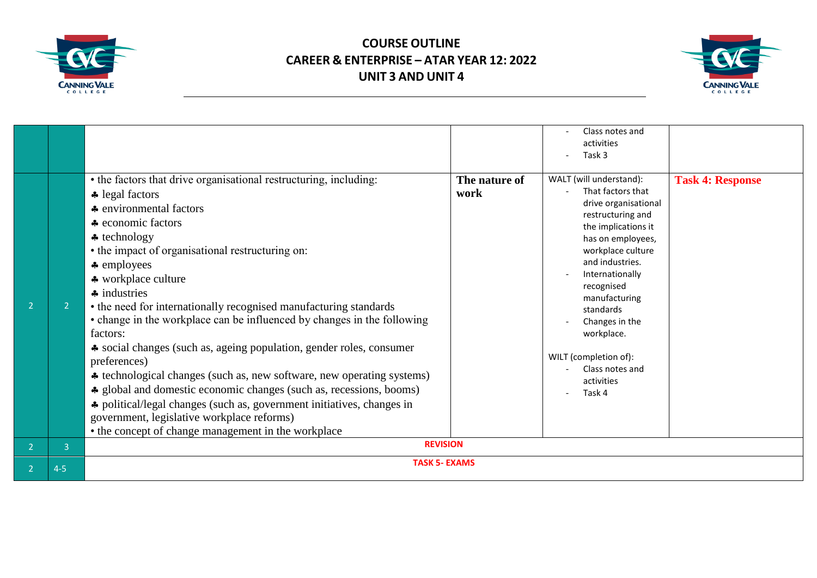



|                          |                |                                                                                                                                                                                                                                                                                                                                                                                                                                                                                                                                                                                                                                                                                                                                                                                                                                                                                                            |                       | Class notes and<br>activities<br>Task 3                                                                                                                                                                                                                                                                                                          |                         |  |
|--------------------------|----------------|------------------------------------------------------------------------------------------------------------------------------------------------------------------------------------------------------------------------------------------------------------------------------------------------------------------------------------------------------------------------------------------------------------------------------------------------------------------------------------------------------------------------------------------------------------------------------------------------------------------------------------------------------------------------------------------------------------------------------------------------------------------------------------------------------------------------------------------------------------------------------------------------------------|-----------------------|--------------------------------------------------------------------------------------------------------------------------------------------------------------------------------------------------------------------------------------------------------------------------------------------------------------------------------------------------|-------------------------|--|
| $\overline{2}$           |                | • the factors that drive organisational restructuring, including:<br>$\triangle$ legal factors<br>♣ environmental factors<br>lactors <b>a</b> economic factors<br>$\triangle$ technology<br>• the impact of organisational restructuring on:<br>$\clubsuit$ employees<br>* workplace culture<br>$\clubsuit$ industries<br>• the need for internationally recognised manufacturing standards<br>• change in the workplace can be influenced by changes in the following<br>factors:<br>• social changes (such as, ageing population, gender roles, consumer<br>preferences)<br>* technological changes (such as, new software, new operating systems)<br>• global and domestic economic changes (such as, recessions, booms)<br>* political/legal changes (such as, government initiatives, changes in<br>government, legislative workplace reforms)<br>• the concept of change management in the workplace | The nature of<br>work | WALT (will understand):<br>That factors that<br>drive organisational<br>restructuring and<br>the implications it<br>has on employees,<br>workplace culture<br>and industries.<br>Internationally<br>recognised<br>manufacturing<br>standards<br>Changes in the<br>workplace.<br>WILT (completion of):<br>Class notes and<br>activities<br>Task 4 | <b>Task 4: Response</b> |  |
| $\overline{2}$           | $\overline{3}$ | <b>REVISION</b>                                                                                                                                                                                                                                                                                                                                                                                                                                                                                                                                                                                                                                                                                                                                                                                                                                                                                            |                       |                                                                                                                                                                                                                                                                                                                                                  |                         |  |
| $\overline{\phantom{a}}$ | $4 - 5$        | <b>TASK 5- EXAMS</b>                                                                                                                                                                                                                                                                                                                                                                                                                                                                                                                                                                                                                                                                                                                                                                                                                                                                                       |                       |                                                                                                                                                                                                                                                                                                                                                  |                         |  |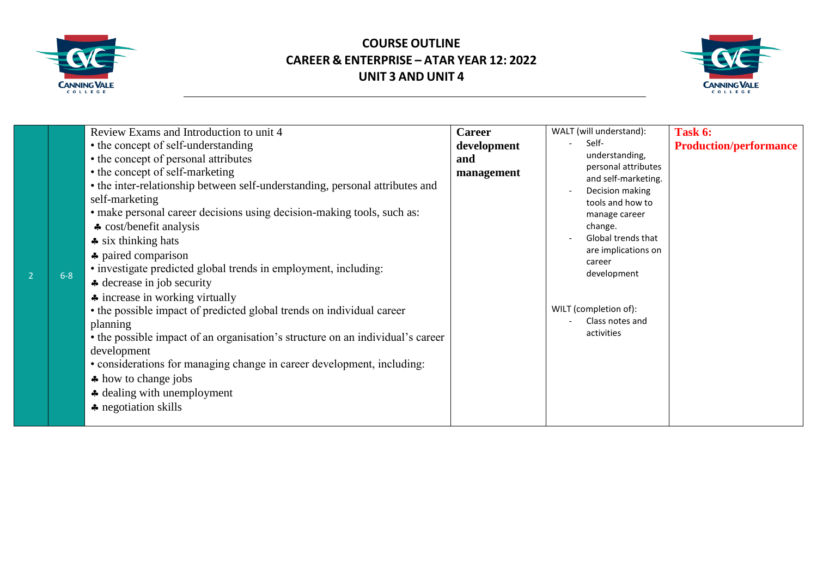



|         | Review Exams and Introduction to unit 4                                                                                                                                                                                        | <b>Career</b> | WALT (will understand):                    | Task 6:                       |
|---------|--------------------------------------------------------------------------------------------------------------------------------------------------------------------------------------------------------------------------------|---------------|--------------------------------------------|-------------------------------|
|         | • the concept of self-understanding                                                                                                                                                                                            | development   | Self-                                      | <b>Production/performance</b> |
|         | • the concept of personal attributes                                                                                                                                                                                           | and           | understanding,                             |                               |
|         | • the concept of self-marketing                                                                                                                                                                                                | management    | personal attributes<br>and self-marketing. |                               |
|         | • the inter-relationship between self-understanding, personal attributes and                                                                                                                                                   |               | Decision making                            |                               |
|         | self-marketing                                                                                                                                                                                                                 |               | tools and how to                           |                               |
|         | • make personal career decisions using decision-making tools, such as:                                                                                                                                                         |               | manage career                              |                               |
|         | $\triangle$ cost/benefit analysis                                                                                                                                                                                              |               | change.                                    |                               |
|         | $\clubsuit$ six thinking hats                                                                                                                                                                                                  |               | <b>Global trends that</b>                  |                               |
|         | <b>←</b> paired comparison                                                                                                                                                                                                     |               | are implications on                        |                               |
|         | • investigate predicted global trends in employment, including:                                                                                                                                                                |               | career                                     |                               |
| $6 - 8$ | A decrease in job security                                                                                                                                                                                                     |               | development                                |                               |
|         | lacktriangleright in working virtually                                                                                                                                                                                         |               |                                            |                               |
|         | • the possible impact of predicted global trends on individual career                                                                                                                                                          |               | WILT (completion of):                      |                               |
|         | planning                                                                                                                                                                                                                       |               | Class notes and                            |                               |
|         | • the possible impact of an organisation's structure on an individual's career                                                                                                                                                 |               | activities                                 |                               |
|         | development                                                                                                                                                                                                                    |               |                                            |                               |
|         | • considerations for managing change in career development, including:                                                                                                                                                         |               |                                            |                               |
|         | A how to change jobs                                                                                                                                                                                                           |               |                                            |                               |
|         | A dealing with unemployment                                                                                                                                                                                                    |               |                                            |                               |
|         | lacktriangleright and set also set also a set also set also a set also set also set also set also set also set also set also set also set also set also set also set also set also set also set also set also set also set als |               |                                            |                               |
|         |                                                                                                                                                                                                                                |               |                                            |                               |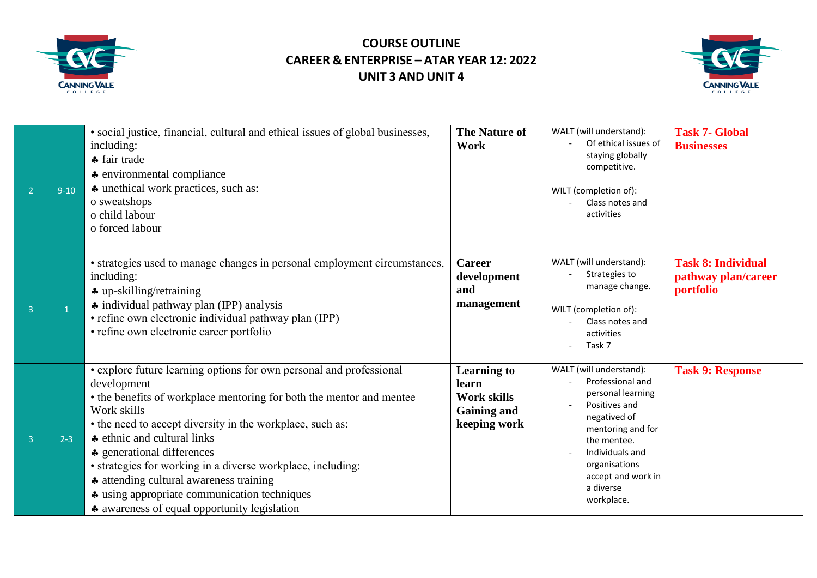



| $\overline{2}$ | $9 - 10$       | · social justice, financial, cultural and ethical issues of global businesses,<br>including:<br>+ fair trade<br><b>←</b> environmental compliance<br>* unethical work practices, such as:<br>o sweatshops<br>o child labour<br>o forced labour                                                                                                                                                                                                                                                                                | <b>The Nature of</b><br>Work                                                            | WALT (will understand):<br>Of ethical issues of<br>staying globally<br>competitive.<br>WILT (completion of):<br>Class notes and<br>activities                                                                              | <b>Task 7- Global</b><br><b>Businesses</b>                    |
|----------------|----------------|-------------------------------------------------------------------------------------------------------------------------------------------------------------------------------------------------------------------------------------------------------------------------------------------------------------------------------------------------------------------------------------------------------------------------------------------------------------------------------------------------------------------------------|-----------------------------------------------------------------------------------------|----------------------------------------------------------------------------------------------------------------------------------------------------------------------------------------------------------------------------|---------------------------------------------------------------|
| $\overline{3}$ | $\overline{1}$ | • strategies used to manage changes in personal employment circumstances,<br>including:<br>$\clubsuit$ up-skilling/retraining<br>individual pathway plan (IPP) analysis<br>• refine own electronic individual pathway plan (IPP)<br>• refine own electronic career portfolio                                                                                                                                                                                                                                                  | <b>Career</b><br>development<br>and<br>management                                       | WALT (will understand):<br>Strategies to<br>manage change.<br>WILT (completion of):<br>Class notes and<br>activities<br>Task 7                                                                                             | <b>Task 8: Individual</b><br>pathway plan/career<br>portfolio |
| $\overline{3}$ | $2 - 3$        | • explore future learning options for own personal and professional<br>development<br>• the benefits of workplace mentoring for both the mentor and mentee<br>Work skills<br>• the need to accept diversity in the workplace, such as:<br>lacktriangleright ethnic and cultural links<br>♣ generational differences<br>• strategies for working in a diverse workplace, including:<br>* attending cultural awareness training<br>• using appropriate communication techniques<br>* awareness of equal opportunity legislation | <b>Learning to</b><br>learn<br><b>Work skills</b><br><b>Gaining and</b><br>keeping work | WALT (will understand):<br>Professional and<br>personal learning<br>Positives and<br>negatived of<br>mentoring and for<br>the mentee.<br>Individuals and<br>organisations<br>accept and work in<br>a diverse<br>workplace. | <b>Task 9: Response</b>                                       |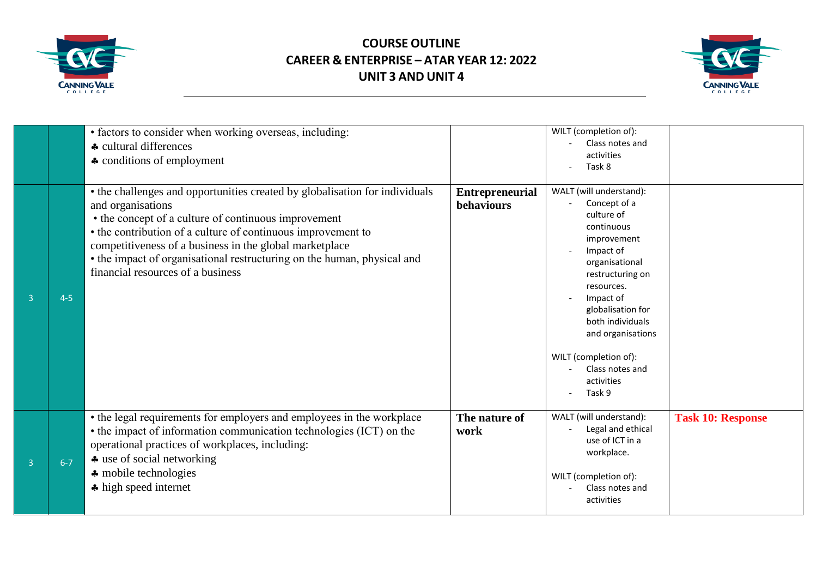



|   |         | • factors to consider when working overseas, including:<br>♣ cultural differences<br>• conditions of employment                                                                                                                                                                                                                                                                                     |                                             | WILT (completion of):<br>Class notes and<br>activities<br>Task 8                                                                                                                                                                                                                                   |                          |
|---|---------|-----------------------------------------------------------------------------------------------------------------------------------------------------------------------------------------------------------------------------------------------------------------------------------------------------------------------------------------------------------------------------------------------------|---------------------------------------------|----------------------------------------------------------------------------------------------------------------------------------------------------------------------------------------------------------------------------------------------------------------------------------------------------|--------------------------|
| 3 | $4 - 5$ | • the challenges and opportunities created by globalisation for individuals<br>and organisations<br>• the concept of a culture of continuous improvement<br>• the contribution of a culture of continuous improvement to<br>competitiveness of a business in the global marketplace<br>• the impact of organisational restructuring on the human, physical and<br>financial resources of a business | <b>Entrepreneurial</b><br><b>behaviours</b> | WALT (will understand):<br>Concept of a<br>culture of<br>continuous<br>improvement<br>Impact of<br>organisational<br>restructuring on<br>resources.<br>Impact of<br>globalisation for<br>both individuals<br>and organisations<br>WILT (completion of):<br>Class notes and<br>activities<br>Task 9 |                          |
| 3 | $6 - 7$ | • the legal requirements for employers and employees in the workplace<br>• the impact of information communication technologies (ICT) on the<br>operational practices of workplaces, including:<br>* use of social networking<br>* mobile technologies<br>high speed internet                                                                                                                       | The nature of<br>work                       | WALT (will understand):<br>Legal and ethical<br>use of ICT in a<br>workplace.<br>WILT (completion of):<br>Class notes and<br>activities                                                                                                                                                            | <b>Task 10: Response</b> |